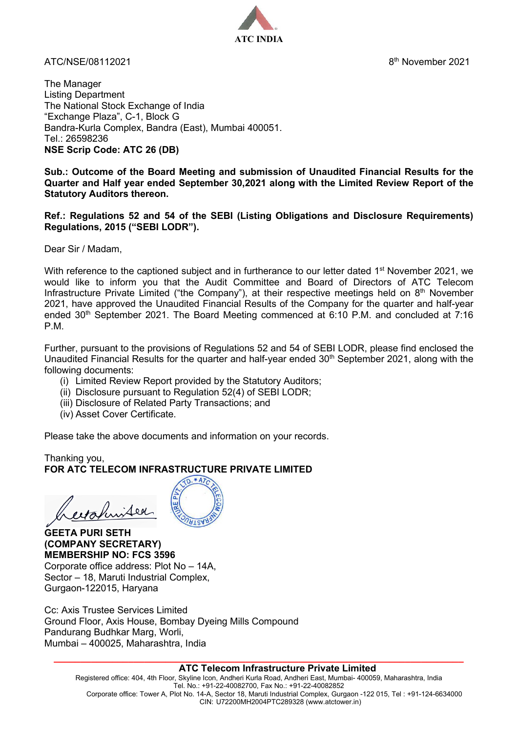ATC/NSE/08112021 8th November 2021



The Manager Listing Department The National Stock Exchange of India "Exchange Plaza", C-1, Block G Bandra-Kurla Complex, Bandra (East), Mumbai 400051. Tel.: 26598236 **NSE Scrip Code: ATC 26 (DB)**

**Sub.: Outcome of the Board Meeting and submission of Unaudited Financial Results for the Quarter and Half year ended September 30,2021 along with the Limited Review Report of the Statutory Auditors thereon.**

**Ref.: Regulations 52 and 54 of the SEBI (Listing Obligations and Disclosure Requirements) Regulations, 2015 ("SEBI LODR").**

Dear Sir / Madam,

With reference to the captioned subject and in furtherance to our letter dated 1<sup>st</sup> November 2021, we would like to inform you that the Audit Committee and Board of Directors of ATC Telecom Infrastructure Private Limited ("the Company"), at their respective meetings held on 8<sup>th</sup> November 2021, have approved the Unaudited Financial Results of the Company for the quarter and half-year ended  $30<sup>th</sup>$  September 2021. The Board Meeting commenced at 6:10 P.M. and concluded at 7:16 P.M.

Further, pursuant to the provisions of Regulations 52 and 54 of SEBI LODR, please find enclosed the Unaudited Financial Results for the quarter and half-year ended  $30<sup>th</sup>$  September 2021, along with the following documents:

- (i) Limited Review Report provided by the Statutory Auditors;
- (ii) Disclosure pursuant to Regulation 52(4) of SEBI LODR;
- (iii) Disclosure of Related Party Transactions; and
- (iv) Asset Cover Certificate.

Please take the above documents and information on your records.

Thanking you, **FOR ATC TELECOM INFRASTRUCTURE PRIVATE LIMITED**



**GEETA PURI SETH (COMPANY SECRETARY) MEMBERSHIP NO: FCS 3596** Corporate office address: Plot No – 14A, Sector – 18, Maruti Industrial Complex, Gurgaon-122015, Haryana

Cc: Axis Trustee Services Limited Ground Floor, Axis House, Bombay Dyeing Mills Compound Pandurang Budhkar Marg, Worli, Mumbai – 400025, Maharashtra, India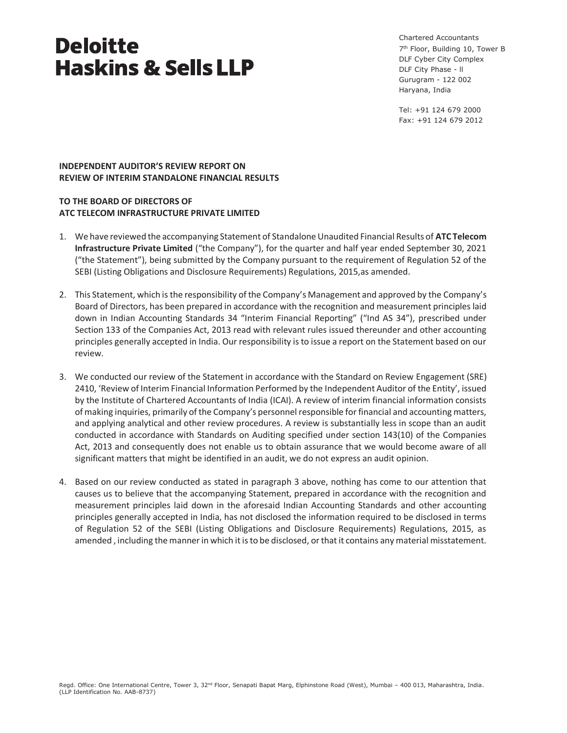Chartered Accountants 7<sup>th</sup> Floor, Building 10, Tower B DLF Cyber City Complex DLF City Phase - ll Gurugram - 122 002 Haryana, India

Tel: +91 124 679 2000 Fax: +91 124 679 2012

# **INDEPENDENT AUDITOR'S REVIEW REPORT ON REVIEW OF INTERIM STANDALONE FINANCIAL RESULTS**

# **TO THE BOARD OF DIRECTORS OF ATC TELECOM INFRASTRUCTURE PRIVATE LIMITED**

- 1. We have reviewed the accompanying Statement of Standalone Unaudited Financial Results of **ATC Telecom Infrastructure Private Limited** ("the Company"), for the quarter and half year ended September 30, 2021 ("the Statement"), being submitted by the Company pursuant to the requirement of Regulation 52 of the SEBI (Listing Obligations and Disclosure Requirements) Regulations, 2015,as amended.
- 2. This Statement, which is the responsibility of the Company's Management and approved by the Company's Board of Directors, has been prepared in accordance with the recognition and measurement principles laid down in Indian Accounting Standards 34 "Interim Financial Reporting" ("Ind AS 34"), prescribed under Section 133 of the Companies Act, 2013 read with relevant rules issued thereunder and other accounting principles generally accepted in India. Our responsibility is to issue a report on the Statement based on our review.
- 3. We conducted our review of the Statement in accordance with the Standard on Review Engagement (SRE) 2410, 'Review of Interim Financial Information Performed by the Independent Auditor of the Entity', issued by the Institute of Chartered Accountants of India (ICAI). A review of interim financial information consists of making inquiries, primarily of the Company's personnel responsible for financial and accounting matters, and applying analytical and other review procedures. A review is substantially less in scope than an audit conducted in accordance with Standards on Auditing specified under section 143(10) of the Companies Act, 2013 and consequently does not enable us to obtain assurance that we would become aware of all significant matters that might be identified in an audit, we do not express an audit opinion.
- 4. Based on our review conducted as stated in paragraph 3 above, nothing has come to our attention that causes us to believe that the accompanying Statement, prepared in accordance with the recognition and measurement principles laid down in the aforesaid Indian Accounting Standards and other accounting principles generally accepted in India, has not disclosed the information required to be disclosed in terms of Regulation 52 of the SEBI (Listing Obligations and Disclosure Requirements) Regulations, 2015, as amended , including the manner in which it is to be disclosed, or that it contains any material misstatement.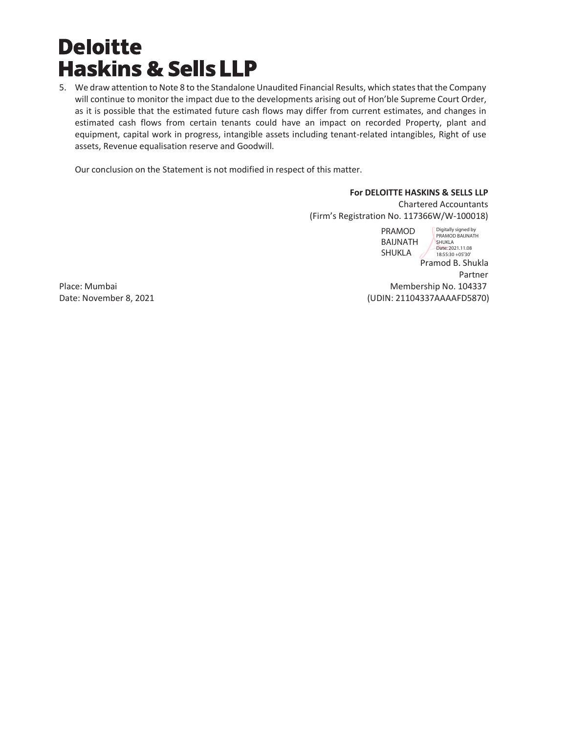5. We draw attention to Note 8 to the Standalone Unaudited Financial Results, which states that the Company will continue to monitor the impact due to the developments arising out of Hon'ble Supreme Court Order, as it is possible that the estimated future cash flows may differ from current estimates, and changes in estimated cash flows from certain tenants could have an impact on recorded Property, plant and equipment, capital work in progress, intangible assets including tenant-related intangibles, Right of use assets, Revenue equalisation reserve and Goodwill.

Our conclusion on the Statement is not modified in respect of this matter.

# **For DELOITTE HASKINS & SELLS LLP**

Chartered Accountants (Firm's Registration No. 117366W/W-100018)

Pramod B. Shukla Partner in the control of the control of the control of the control of the control of the control of the control of the control of the control of the control of the control of the control of the control of the control of t Place: Mumbai Membership No. 104337 PRAMOD BAIJNATH SHUKLA Digitally signed by PRAMOD BAIJNATH SHUKLA<br>Date: 2021.11.08 18:55:30 +05'30'

Date: November 8, 2021 (UDIN: 21104337AAAAFD5870)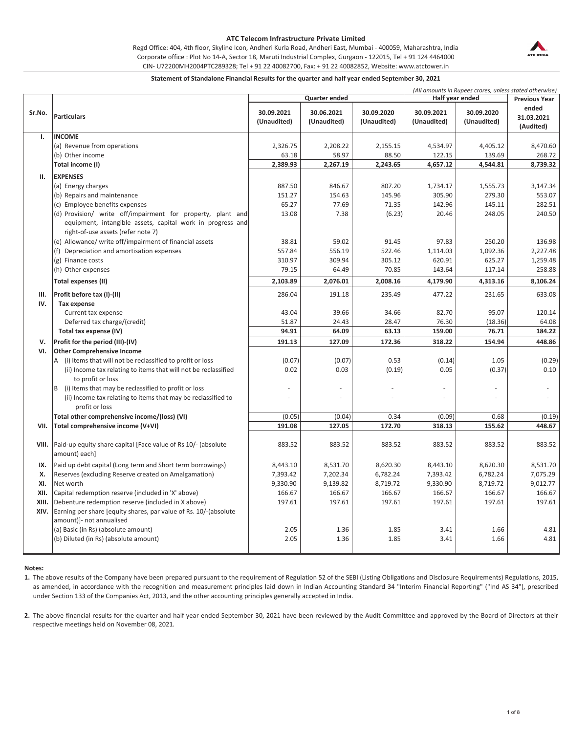Regd Office: 404, 4th floor, Skyline Icon, Andheri Kurla Road, Andheri East, Mumbai - 400059, Maharashtra, India CIN- U72200MH2004PTC289328; Tel + 91 22 40082700, Fax: + 91 22 40082852, Website: www.atctower.in Corporate office : Plot No 14-A, Sector 18, Maruti Industrial Complex, Gurgaon - 122015, Tel + 91 124 4464000



|        |                                                                     | Quarter ended |             |             |             | Half year ended | (All amounts in Rupees crores, unless stated otherwise)<br><b>Previous Year</b> |  |
|--------|---------------------------------------------------------------------|---------------|-------------|-------------|-------------|-----------------|---------------------------------------------------------------------------------|--|
|        |                                                                     |               |             |             |             | ended           |                                                                                 |  |
| Sr.No. | <b>Particulars</b>                                                  | 30.09.2021    | 30.06.2021  | 30.09.2020  | 30.09.2021  | 30.09.2020      | 31.03.2021                                                                      |  |
|        |                                                                     | (Unaudited)   | (Unaudited) | (Unaudited) | (Unaudited) | (Unaudited)     | (Audited)                                                                       |  |
| Ι.     | <b>INCOME</b>                                                       |               |             |             |             |                 |                                                                                 |  |
|        | (a) Revenue from operations                                         | 2,326.75      | 2,208.22    | 2,155.15    | 4,534.97    | 4,405.12        | 8,470.60                                                                        |  |
|        | (b) Other income                                                    | 63.18         | 58.97       | 88.50       | 122.15      | 139.69          | 268.72                                                                          |  |
|        | Total income (I)                                                    | 2,389.93      | 2,267.19    | 2,243.65    | 4,657.12    | 4,544.81        | 8,739.32                                                                        |  |
| Ш.     | <b>EXPENSES</b>                                                     |               |             |             |             |                 |                                                                                 |  |
|        | (a) Energy charges                                                  | 887.50        | 846.67      | 807.20      | 1,734.17    | 1,555.73        | 3,147.34                                                                        |  |
|        | (b) Repairs and maintenance                                         | 151.27        | 154.63      | 145.96      | 305.90      | 279.30          | 553.07                                                                          |  |
|        | (c) Employee benefits expenses                                      | 65.27         | 77.69       | 71.35       | 142.96      | 145.11          | 282.51                                                                          |  |
|        | (d) Provision/ write off/impairment for property, plant and         | 13.08         | 7.38        | (6.23)      | 20.46       | 248.05          | 240.50                                                                          |  |
|        | equipment, intangible assets, capital work in progress and          |               |             |             |             |                 |                                                                                 |  |
|        | right-of-use assets (refer note 7)                                  |               |             |             |             |                 |                                                                                 |  |
|        | (e) Allowance/ write off/impairment of financial assets             | 38.81         | 59.02       | 91.45       | 97.83       | 250.20          | 136.98                                                                          |  |
|        | (f) Depreciation and amortisation expenses                          | 557.84        | 556.19      | 522.46      | 1,114.03    | 1,092.36        | 2,227.48                                                                        |  |
|        | (g) Finance costs                                                   | 310.97        | 309.94      | 305.12      | 620.91      | 625.27          | 1,259.48                                                                        |  |
|        | (h) Other expenses                                                  | 79.15         | 64.49       | 70.85       | 143.64      | 117.14          | 258.88                                                                          |  |
|        | Total expenses (II)                                                 | 2,103.89      | 2,076.01    | 2,008.16    | 4,179.90    | 4,313.16        | 8,106.24                                                                        |  |
| Ш.     | Profit before tax (I)-(II)                                          | 286.04        | 191.18      | 235.49      | 477.22      | 231.65          | 633.08                                                                          |  |
| IV.    | Tax expense                                                         |               |             |             |             |                 |                                                                                 |  |
|        | Current tax expense                                                 | 43.04         | 39.66       | 34.66       | 82.70       | 95.07           | 120.14                                                                          |  |
|        | Deferred tax charge/(credit)                                        | 51.87         | 24.43       | 28.47       | 76.30       | (18.36)         | 64.08                                                                           |  |
|        | Total tax expense (IV)                                              | 94.91         | 64.09       | 63.13       | 159.00      | 76.71           | 184.22                                                                          |  |
| v.     | Profit for the period (III)-(IV)                                    | 191.13        | 127.09      | 172.36      | 318.22      | 154.94          | 448.86                                                                          |  |
| VI.    | <b>Other Comprehensive Income</b>                                   |               |             |             |             |                 |                                                                                 |  |
|        | A (i) Items that will not be reclassified to profit or loss         | (0.07)        | (0.07)      | 0.53        | (0.14)      | 1.05            | (0.29)                                                                          |  |
|        | (ii) Income tax relating to items that will not be reclassified     | 0.02          | 0.03        | (0.19)      | 0.05        | (0.37)          | 0.10                                                                            |  |
|        | to profit or loss                                                   |               |             |             |             |                 |                                                                                 |  |
|        | (i) Items that may be reclassified to profit or loss<br>B           |               |             |             |             |                 |                                                                                 |  |
|        | (ii) Income tax relating to items that may be reclassified to       |               |             |             |             |                 |                                                                                 |  |
|        | profit or loss                                                      |               |             |             |             |                 |                                                                                 |  |
|        | Total other comprehensive income/(loss) (VI)                        | (0.05)        | (0.04)      | 0.34        | (0.09)      | 0.68            | (0.19)                                                                          |  |
| VII.   | Total comprehensive income (V+VI)                                   | 191.08        | 127.05      | 172.70      | 318.13      | 155.62          | 448.67                                                                          |  |
|        | VIII. Paid-up equity share capital [Face value of Rs 10/- (absolute | 883.52        | 883.52      | 883.52      | 883.52      | 883.52          | 883.52                                                                          |  |
|        | amount) each]                                                       |               |             |             |             |                 |                                                                                 |  |
| IX.    | Paid up debt capital (Long term and Short term borrowings)          | 8,443.10      | 8,531.70    | 8,620.30    | 8,443.10    | 8,620.30        | 8,531.70                                                                        |  |
| х.     | Reserves (excluding Reserve created on Amalgamation)                | 7,393.42      | 7,202.34    | 6,782.24    | 7,393.42    | 6,782.24        | 7,075.29                                                                        |  |
| XI.    | Net worth                                                           | 9,330.90      | 9,139.82    | 8,719.72    | 9,330.90    | 8,719.72        | 9,012.77                                                                        |  |
| XII.   | Capital redemption reserve (included in 'X' above)                  | 166.67        | 166.67      | 166.67      | 166.67      | 166.67          | 166.67                                                                          |  |
| XIII.  | Debenture redemption reserve (included in X above)                  | 197.61        | 197.61      | 197.61      | 197.61      | 197.61          | 197.61                                                                          |  |
| XIV.   | Earning per share [equity shares, par value of Rs. 10/-(absolute    |               |             |             |             |                 |                                                                                 |  |
|        | amount)]- not annualised                                            |               |             |             |             |                 |                                                                                 |  |
|        | (a) Basic (in Rs) (absolute amount)                                 | 2.05          | 1.36        | 1.85        | 3.41        | 1.66            | 4.81                                                                            |  |
|        | (b) Diluted (in Rs) (absolute amount)                               | 2.05          | 1.36        | 1.85        | 3.41        | 1.66            | 4.81                                                                            |  |
|        |                                                                     |               |             |             |             |                 |                                                                                 |  |
|        |                                                                     |               |             |             |             |                 |                                                                                 |  |

**Notes:**

**1.** The above results of the Company have been prepared pursuant to the requirement of Regulation 52 of the SEBI (Listing Obligations and Disclosure Requirements) Regulations, 2015, as amended, in accordance with the recognition and measurement principles laid down in Indian Accounting Standard 34 "Interim Financial Reporting" ("Ind AS 34"), prescribed under Section 133 of the Companies Act, 2013, and the other accounting principles generally accepted in India.

**2.** The above financial results for the quarter and half year ended September 30, 2021 have been reviewed by the Audit Committee and approved by the Board of Directors at their respective meetings held on November 08, 2021.

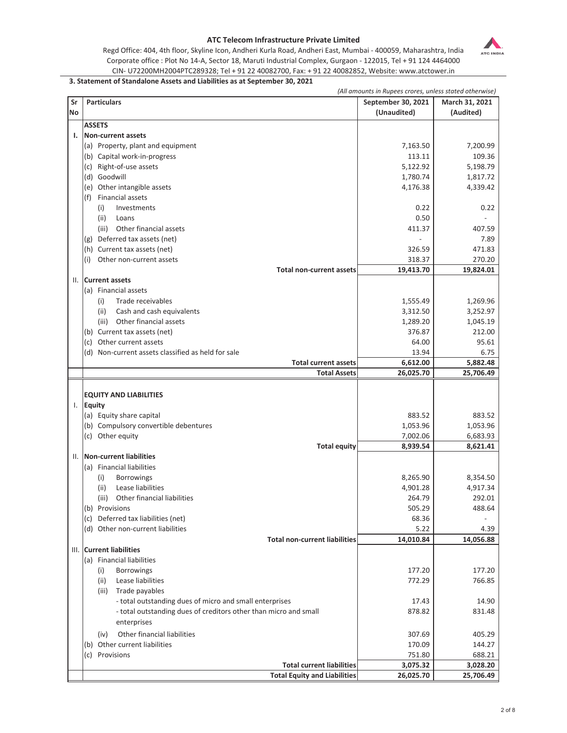

Regd Office: 404, 4th floor, Skyline Icon, Andheri Kurla Road, Andheri East, Mumbai - 400059, Maharashtra, India Corporate office : Plot No 14-A, Sector 18, Maruti Industrial Complex, Gurgaon - 122015, Tel + 91 124 4464000 CIN- U72200MH2004PTC289328; Tel + 91 22 40082700, Fax: + 91 22 40082852, Website: www.atctower.in

## **3. Statement of Standalone Assets and Liabilities as at September 30, 2021**

|           |                                                                  | (All amounts in Rupees crores, unless stated otherwise) |                |
|-----------|------------------------------------------------------------------|---------------------------------------------------------|----------------|
| Sr        | <b>Particulars</b>                                               | September 30, 2021                                      | March 31, 2021 |
| <b>No</b> |                                                                  | (Unaudited)                                             | (Audited)      |
|           | <b>ASSETS</b>                                                    |                                                         |                |
| ı.        | <b>Non-current assets</b>                                        |                                                         |                |
|           | (a) Property, plant and equipment                                | 7,163.50                                                | 7,200.99       |
|           | (b) Capital work-in-progress                                     | 113.11                                                  | 109.36         |
|           | (c) Right-of-use assets                                          | 5,122.92                                                | 5,198.79       |
|           | (d) Goodwill                                                     | 1,780.74                                                | 1,817.72       |
|           | (e) Other intangible assets                                      | 4,176.38                                                | 4,339.42       |
|           | <b>Financial assets</b><br>(f)                                   |                                                         |                |
|           | (i)<br>Investments                                               | 0.22                                                    | 0.22           |
|           |                                                                  |                                                         |                |
|           | (ii)<br>Loans                                                    | 0.50                                                    |                |
|           | (iii)<br>Other financial assets                                  | 411.37                                                  | 407.59         |
|           | (g) Deferred tax assets (net)                                    |                                                         | 7.89           |
|           | (h) Current tax assets (net)                                     | 326.59                                                  | 471.83         |
|           | (i) Other non-current assets                                     | 318.37                                                  | 270.20         |
|           | <b>Total non-current assets</b>                                  | 19,413.70                                               | 19,824.01      |
| II.       | <b>Current assets</b>                                            |                                                         |                |
|           | (a) Financial assets                                             |                                                         |                |
|           | Trade receivables<br>(i)                                         | 1,555.49                                                | 1,269.96       |
|           | Cash and cash equivalents<br>(ii)                                | 3,312.50                                                | 3,252.97       |
|           | (iii) Other financial assets                                     | 1,289.20                                                | 1,045.19       |
|           | (b) Current tax assets (net)                                     | 376.87                                                  | 212.00         |
|           | (c) Other current assets                                         | 64.00                                                   | 95.61          |
|           | (d) Non-current assets classified as held for sale               | 13.94                                                   | 6.75           |
|           | <b>Total current assets</b>                                      | 6,612.00                                                | 5,882.48       |
|           | <b>Total Assets</b>                                              | 26,025.70                                               | 25,706.49      |
|           |                                                                  |                                                         |                |
|           | <b>EQUITY AND LIABILITIES</b>                                    |                                                         |                |
|           | I. Equity                                                        |                                                         |                |
|           | (a) Equity share capital                                         | 883.52                                                  | 883.52         |
|           | (b) Compulsory convertible debentures                            | 1,053.96                                                | 1,053.96       |
|           | (c) Other equity                                                 | 7,002.06                                                | 6,683.93       |
|           | <b>Total equity</b>                                              | 8,939.54                                                | 8,621.41       |
| Ш.        | Non-current liabilities                                          |                                                         |                |
|           | (a) Financial liabilities                                        |                                                         |                |
|           | (i)<br><b>Borrowings</b>                                         | 8,265.90                                                | 8,354.50       |
|           | Lease liabilities<br>(ii)                                        | 4,901.28                                                | 4,917.34       |
|           | (iii)<br>Other financial liabilities                             | 264.79                                                  | 292.01         |
|           | (b) Provisions                                                   | 505.29                                                  | 488.64         |
|           | (c) Deferred tax liabilities (net)                               | 68.36                                                   |                |
|           | (d) Other non-current liabilities                                | 5.22                                                    | 4.39           |
|           | <b>Total non-current liabilities</b>                             | 14,010.84                                               | 14,056.88      |
|           | III. Current liabilities                                         |                                                         |                |
|           | (a) Financial liabilities                                        |                                                         |                |
|           | (i)<br><b>Borrowings</b>                                         | 177.20                                                  | 177.20         |
|           | (ii)<br>Lease liabilities                                        | 772.29                                                  | 766.85         |
|           | (iii)<br>Trade payables                                          |                                                         |                |
|           | - total outstanding dues of micro and small enterprises          | 17.43                                                   | 14.90          |
|           | - total outstanding dues of creditors other than micro and small | 878.82                                                  | 831.48         |
|           | enterprises                                                      |                                                         |                |
|           |                                                                  |                                                         |                |
|           | Other financial liabilities<br>(iv)                              | 307.69                                                  | 405.29         |
|           | (b) Other current liabilities                                    | 170.09                                                  | 144.27         |
|           | (c) Provisions                                                   | 751.80                                                  | 688.21         |
|           | <b>Total current liabilities</b>                                 | 3,075.32                                                | 3,028.20       |
|           | <b>Total Equity and Liabilities</b>                              | 26,025.70                                               | 25,706.49      |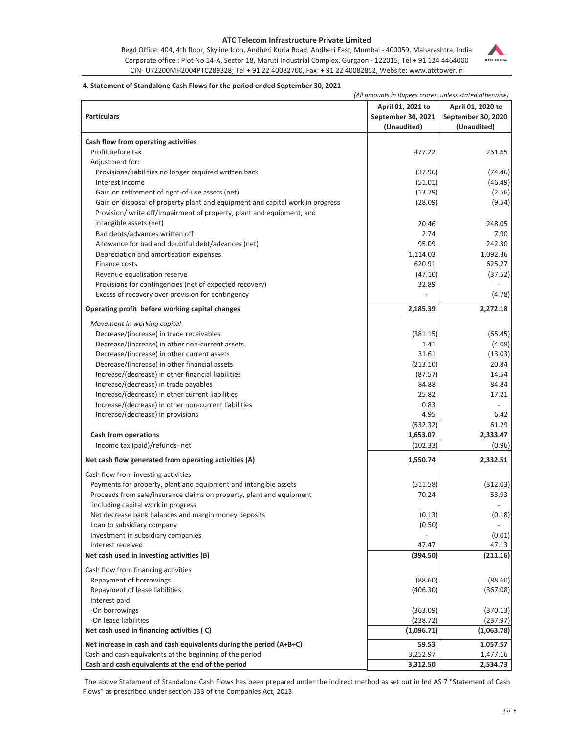Regd Office: 404, 4th floor, Skyline Icon, Andheri Kurla Road, Andheri East, Mumbai - 400059, Maharashtra, India Corporate office : Plot No 14-A, Sector 18, Maruti Industrial Complex, Gurgaon - 122015, Tel + 91 124 4464000 CIN- U72200MH2004PTC289328; Tel + 91 22 40082700, Fax: + 91 22 40082852, Website: www.atctower.in



### **4. Statement of Standalone Cash Flows for the period ended September 30, 2021**

*(All amounts in Rupees crores, unless stated otherwise)*

|                                                                                           | April 01, 2021 to  | April 01, 2020 to  |
|-------------------------------------------------------------------------------------------|--------------------|--------------------|
| <b>Particulars</b>                                                                        | September 30, 2021 | September 30, 2020 |
|                                                                                           | (Unaudited)        | (Unaudited)        |
|                                                                                           |                    |                    |
| Cash flow from operating activities                                                       |                    |                    |
| Profit before tax                                                                         | 477.22             | 231.65             |
| Adjustment for:                                                                           |                    |                    |
| Provisions/liabilities no longer required written back                                    | (37.96)            | (74.46)            |
| Interest Income<br>Gain on retirement of right-of-use assets (net)                        | (51.01)<br>(13.79) | (46.49)<br>(2.56)  |
| Gain on disposal of property plant and equipment and capital work in progress             | (28.09)            | (9.54)             |
| Provision/ write off/Impairment of property, plant and equipment, and                     |                    |                    |
| intangible assets (net)                                                                   | 20.46              | 248.05             |
| Bad debts/advances written off                                                            | 2.74               | 7.90               |
| Allowance for bad and doubtful debt/advances (net)                                        | 95.09              | 242.30             |
| Depreciation and amortisation expenses                                                    | 1,114.03           | 1,092.36           |
| Finance costs                                                                             | 620.91             | 625.27             |
| Revenue equalisation reserve                                                              | (47.10)            | (37.52)            |
| Provisions for contingencies (net of expected recovery)                                   | 32.89              |                    |
| Excess of recovery over provision for contingency                                         |                    | (4.78)             |
|                                                                                           |                    |                    |
| Operating profit before working capital changes                                           | 2,185.39           | 2,272.18           |
| Movement in working capital                                                               |                    |                    |
| Decrease/(increase) in trade receivables                                                  | (381.15)           | (65.45)            |
| Decrease/(increase) in other non-current assets                                           | 1.41               | (4.08)             |
| Decrease/(increase) in other current assets                                               | 31.61              | (13.03)            |
| Decrease/(increase) in other financial assets                                             | (213.10)           | 20.84              |
| Increase/(decrease) in other financial liabilities                                        | (87.57)            | 14.54              |
| Increase/(decrease) in trade payables                                                     | 84.88              | 84.84              |
| Increase/(decrease) in other current liabilities                                          | 25.82              | 17.21              |
| Increase/(decrease) in other non-current liabilities<br>Increase/(decrease) in provisions | 0.83<br>4.95       | 6.42               |
|                                                                                           | (532.32)           | 61.29              |
| <b>Cash from operations</b>                                                               | 1,653.07           | 2,333.47           |
| Income tax (paid)/refunds- net                                                            | (102.33)           | (0.96)             |
| Net cash flow generated from operating activities (A)                                     |                    | 2,332.51           |
|                                                                                           | 1,550.74           |                    |
| Cash flow from investing activities                                                       |                    |                    |
| Payments for property, plant and equipment and intangible assets                          | (511.58)           | (312.03)           |
| Proceeds from sale/insurance claims on property, plant and equipment                      | 70.24              | 53.93              |
| including capital work in progress                                                        |                    |                    |
| Net decrease bank balances and margin money deposits                                      | (0.13)             | (0.18)             |
| Loan to subsidiary company<br>Investment in subsidiary companies                          | (0.50)             | (0.01)             |
| Interest received                                                                         | 47.47              | 47.13              |
| Net cash used in investing activities (B)                                                 | (394.50)           | (211.16)           |
|                                                                                           |                    |                    |
| Cash flow from financing activities                                                       |                    |                    |
| Repayment of borrowings                                                                   | (88.60)            | (88.60)            |
| Repayment of lease liabilities<br>Interest paid                                           | (406.30)           | (367.08)           |
| -On borrowings                                                                            | (363.09)           | (370.13)           |
| -On lease liabilities                                                                     | (238.72)           | (237.97)           |
| Net cash used in financing activities (C)                                                 | (1,096.71)         | (1,063.78)         |
| Net increase in cash and cash equivalents during the period (A+B+C)                       | 59.53              | 1,057.57           |
| Cash and cash equivalents at the beginning of the period                                  | 3,252.97           | 1,477.16           |
| Cash and cash equivalents at the end of the period                                        | 3,312.50           | 2,534.73           |

The above Statement of Standalone Cash Flows has been prepared under the indirect method as set out in Ind AS 7 "Statement of Cash Flows" as prescribed under section 133 of the Companies Act, 2013.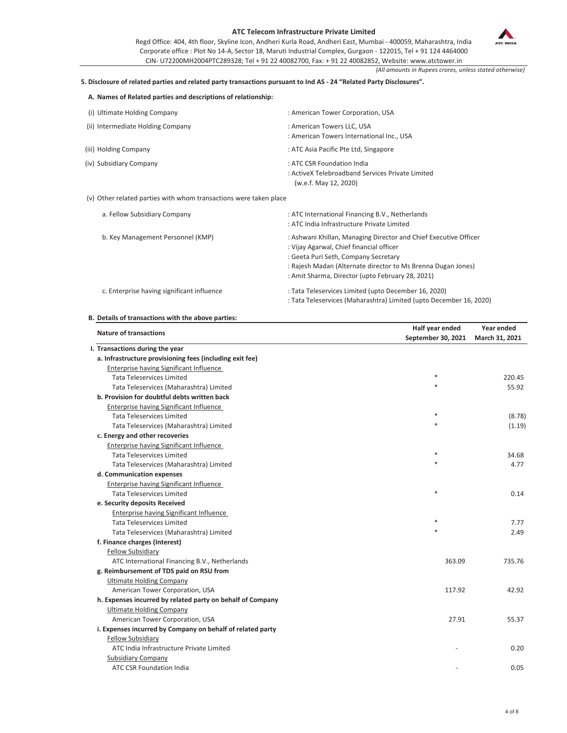Regd Office: 404, 4th floor, Skyline Icon, Andheri Kurla Road, Andheri East, Mumbai - 400059, Maharashtra, India Corporate office : Plot No 14-A, Sector 18, Maruti Industrial Complex, Gurgaon - 122015, Tel + 91 124 4464000 CIN- U72200MH2004PTC289328; Tel + 91 22 40082700, Fax: + 91 22 40082852, Website: www.atctower.in



*(All amounts in Rupees crores, unless stated otherwise)*

## **5. Disclosure of related parties and related party transactions pursuant to Ind AS - 24 "Related Party Disclosures".**

| A. Names of Related parties and descriptions of relationship:     |                                                                                                         |
|-------------------------------------------------------------------|---------------------------------------------------------------------------------------------------------|
| (i) Ultimate Holding Company                                      | : American Tower Corporation, USA                                                                       |
| (ii) Intermediate Holding Company                                 | : American Towers LLC, USA<br>: American Towers International Inc., USA                                 |
| (iii) Holding Company                                             | : ATC Asia Pacific Pte Ltd, Singapore                                                                   |
| (iv) Subsidiary Company                                           | : ATC CSR Foundation India<br>: ActiveX Telebroadband Services Private Limited<br>(w.e.f. May 12, 2020) |
| (v) Other related parties with whom transactions were taken place |                                                                                                         |

| a. Fellow Subsidiary Company               | : ATC International Financing B.V., Netherlands                    |
|--------------------------------------------|--------------------------------------------------------------------|
|                                            | : ATC India Infrastructure Private Limited                         |
| b. Key Management Personnel (KMP)          | : Ashwani Khillan, Managing Director and Chief Executive Officer   |
|                                            | : Vijay Agarwal, Chief financial officer                           |
|                                            | : Geeta Puri Seth, Company Secretary                               |
|                                            | : Rajesh Madan (Alternate director to Ms Brenna Dugan Jones)       |
|                                            | : Amit Sharma, Director (upto February 28, 2021)                   |
| c. Enterprise having significant influence | : Tata Teleservices Limited (upto December 16, 2020)               |
|                                            | : Tata Teleservices (Maharashtra) Limited (upto December 16, 2020) |

#### **B. Details of transactions with the above parties:**

| <b>Nature of transactions</b>                              | Half year ended<br>September 30, 2021 | Year ended<br>March 31, 2021 |
|------------------------------------------------------------|---------------------------------------|------------------------------|
| I. Transactions during the year                            |                                       |                              |
| a. Infrastructure provisioning fees (including exit fee)   |                                       |                              |
| Enterprise having Significant Influence                    |                                       |                              |
| <b>Tata Teleservices Limited</b>                           | $\ast$                                | 220.45                       |
| Tata Teleservices (Maharashtra) Limited                    | $\ast$                                | 55.92                        |
| b. Provision for doubtful debts written back               |                                       |                              |
| Enterprise having Significant Influence                    |                                       |                              |
| <b>Tata Teleservices Limited</b>                           | $\ast$                                | (8.78)                       |
| Tata Teleservices (Maharashtra) Limited                    | $\ast$                                | (1.19)                       |
| c. Energy and other recoveries                             |                                       |                              |
| Enterprise having Significant Influence                    |                                       |                              |
| <b>Tata Teleservices Limited</b>                           | $\ast$                                | 34.68                        |
| Tata Teleservices (Maharashtra) Limited                    | $\ast$                                | 4.77                         |
| d. Communication expenses                                  |                                       |                              |
| <b>Enterprise having Significant Influence</b>             |                                       |                              |
| <b>Tata Teleservices Limited</b>                           | $\ast$                                | 0.14                         |
| e. Security deposits Received                              |                                       |                              |
| Enterprise having Significant Influence                    |                                       |                              |
| <b>Tata Teleservices Limited</b>                           |                                       | 7.77                         |
| Tata Teleservices (Maharashtra) Limited                    |                                       | 2.49                         |
| f. Finance charges (Interest)                              |                                       |                              |
| <b>Fellow Subsidiary</b>                                   |                                       |                              |
| ATC International Financing B.V., Netherlands              | 363.09                                | 735.76                       |
| g. Reimbursement of TDS paid on RSU from                   |                                       |                              |
| <b>Ultimate Holding Company</b>                            |                                       |                              |
| American Tower Corporation, USA                            | 117.92                                | 42.92                        |
| h. Expenses incurred by related party on behalf of Company |                                       |                              |
| <b>Ultimate Holding Company</b>                            |                                       |                              |
| American Tower Corporation, USA                            | 27.91                                 | 55.37                        |
| i. Expenses incurred by Company on behalf of related party |                                       |                              |
| <b>Fellow Subsidiary</b>                                   |                                       |                              |
| ATC India Infrastructure Private Limited                   |                                       | 0.20                         |
| <b>Subsidiary Company</b>                                  |                                       |                              |
| <b>ATC CSR Foundation India</b>                            |                                       | 0.05                         |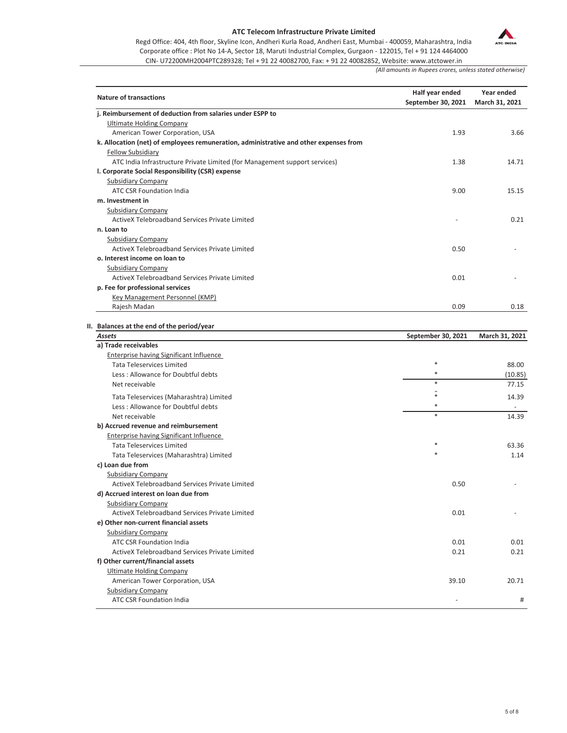

Regd Office: 404, 4th floor, Skyline Icon, Andheri Kurla Road, Andheri East, Mumbai - 400059, Maharashtra, India Corporate office : Plot No 14-A, Sector 18, Maruti Industrial Complex, Gurgaon - 122015, Tel + 91 124 4464000

CIN- U72200MH2004PTC289328; Tel + 91 22 40082700, Fax: + 91 22 40082852, Website: www.atctower.in

*(All amounts in Rupees crores, unless stated otherwise)*

| <b>Nature of transactions</b>                                                         | Half year ended<br>September 30, 2021 | Year ended<br>March 31, 2021 |
|---------------------------------------------------------------------------------------|---------------------------------------|------------------------------|
| j. Reimbursement of deduction from salaries under ESPP to                             |                                       |                              |
| <b>Ultimate Holding Company</b>                                                       |                                       |                              |
| American Tower Corporation, USA                                                       | 1.93                                  | 3.66                         |
| k. Allocation (net) of employees remuneration, administrative and other expenses from |                                       |                              |
| <b>Fellow Subsidiary</b>                                                              |                                       |                              |
| ATC India Infrastructure Private Limited (for Management support services)            | 1.38                                  | 14.71                        |
| I. Corporate Social Responsibility (CSR) expense                                      |                                       |                              |
| <b>Subsidiary Company</b>                                                             |                                       |                              |
| <b>ATC CSR Foundation India</b>                                                       | 9.00                                  | 15.15                        |
| m. Investment in                                                                      |                                       |                              |
| <b>Subsidiary Company</b>                                                             |                                       |                              |
| ActiveX Telebroadband Services Private Limited                                        |                                       | 0.21                         |
| n. Loan to                                                                            |                                       |                              |
| <b>Subsidiary Company</b>                                                             |                                       |                              |
| ActiveX Telebroadband Services Private Limited                                        | 0.50                                  |                              |
| o. Interest income on loan to                                                         |                                       |                              |
| <b>Subsidiary Company</b>                                                             |                                       |                              |
| ActiveX Telebroadband Services Private Limited                                        | 0.01                                  |                              |
| p. Fee for professional services                                                      |                                       |                              |
| Key Management Personnel (KMP)                                                        |                                       |                              |
| Rajesh Madan                                                                          | 0.09                                  | 0.18                         |
| II. Balances at the end of the period/year                                            |                                       |                              |
| Assets                                                                                | September 30, 2021                    | March 31, 2021               |
| a) Trade receivables                                                                  |                                       |                              |
| Enterprise having Significant Influence                                               |                                       |                              |
| <b>Tata Teleservices Limited</b>                                                      | $\ast$                                | 88.00                        |
| Less: Allowance for Doubtful debts                                                    | $\ast$                                | (10.85)                      |
| Net receivable                                                                        | $\ast$                                | 77.15                        |
|                                                                                       | $\mathbf{a}$                          |                              |

| Tata Teleservices (Maharashtra) Limited        | $\cdot$<br>$\ast$ | 14.39 |
|------------------------------------------------|-------------------|-------|
| Less: Allowance for Doubtful debts             | $\ast$            |       |
| Net receivable                                 | $\ast$            | 14.39 |
| b) Accrued revenue and reimbursement           |                   |       |
| <b>Enterprise having Significant Influence</b> |                   |       |
| <b>Tata Teleservices Limited</b>               | $\ast$            | 63.36 |
| Tata Teleservices (Maharashtra) Limited        | $\ast$            | 1.14  |
| c) Loan due from                               |                   |       |
| <b>Subsidiary Company</b>                      |                   |       |
| ActiveX Telebroadband Services Private Limited | 0.50              |       |
| d) Accrued interest on loan due from           |                   |       |
| <b>Subsidiary Company</b>                      |                   |       |
| ActiveX Telebroadband Services Private Limited | 0.01              |       |
| e) Other non-current financial assets          |                   |       |
| <b>Subsidiary Company</b>                      |                   |       |
| <b>ATC CSR Foundation India</b>                | 0.01              | 0.01  |
| ActiveX Telebroadband Services Private Limited | 0.21              | 0.21  |
| f) Other current/financial assets              |                   |       |
| <b>Ultimate Holding Company</b>                |                   |       |
| American Tower Corporation, USA                | 39.10             | 20.71 |
| <b>Subsidiary Company</b>                      |                   |       |
| <b>ATC CSR Foundation India</b>                |                   | #     |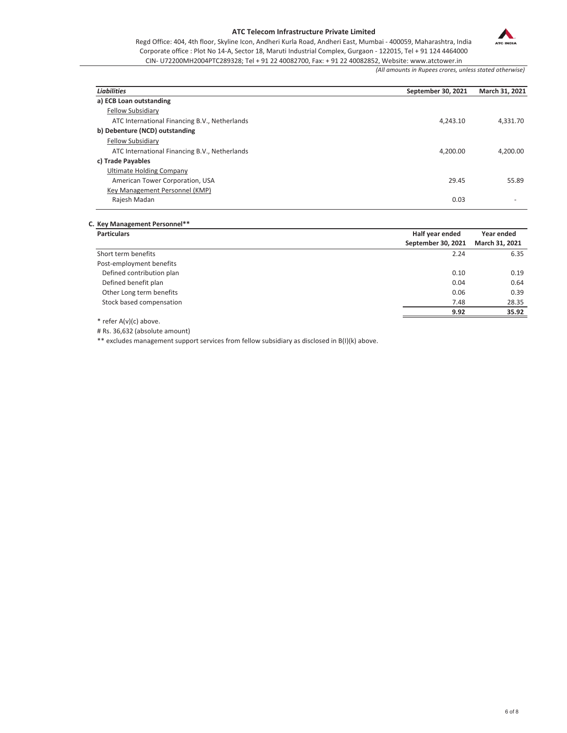ATC INDIA

Regd Office: 404, 4th floor, Skyline Icon, Andheri Kurla Road, Andheri East, Mumbai - 400059, Maharashtra, India Corporate office : Plot No 14-A, Sector 18, Maruti Industrial Complex, Gurgaon - 122015, Tel + 91 124 4464000 CIN- U72200MH2004PTC289328; Tel + 91 22 40082700, Fax: + 91 22 40082852, Website: www.atctower.in

*(All amounts in Rupees crores, unless stated otherwise)*

| <b>Liabilities</b>                            | September 30, 2021 | March 31, 2021 |
|-----------------------------------------------|--------------------|----------------|
| a) ECB Loan outstanding                       |                    |                |
| <b>Fellow Subsidiary</b>                      |                    |                |
| ATC International Financing B.V., Netherlands | 4.243.10           | 4.331.70       |
| b) Debenture (NCD) outstanding                |                    |                |
| <b>Fellow Subsidiary</b>                      |                    |                |
| ATC International Financing B.V., Netherlands | 4.200.00           | 4.200.00       |
| c) Trade Payables                             |                    |                |
| Ultimate Holding Company                      |                    |                |
| American Tower Corporation, USA               | 29.45              | 55.89          |
| Key Management Personnel (KMP)                |                    |                |
| Rajesh Madan                                  | 0.03               |                |

**C. Key Management Personnel\*\***

| <b>Particulars</b>        | Half year ended    | Year ended     |  |
|---------------------------|--------------------|----------------|--|
|                           | September 30, 2021 | March 31, 2021 |  |
| Short term benefits       | 2.24               | 6.35           |  |
| Post-employment benefits  |                    |                |  |
| Defined contribution plan | 0.10               | 0.19           |  |
| Defined benefit plan      | 0.04               | 0.64           |  |
| Other Long term benefits  | 0.06               | 0.39           |  |
| Stock based compensation  | 7.48               | 28.35          |  |
|                           | 9.92               | 35.92          |  |
| .                         |                    |                |  |

\* refer A(v)(c) above.

# Rs. 36,632 (absolute amount)

\*\* excludes management support services from fellow subsidiary as disclosed in B(I)(k) above.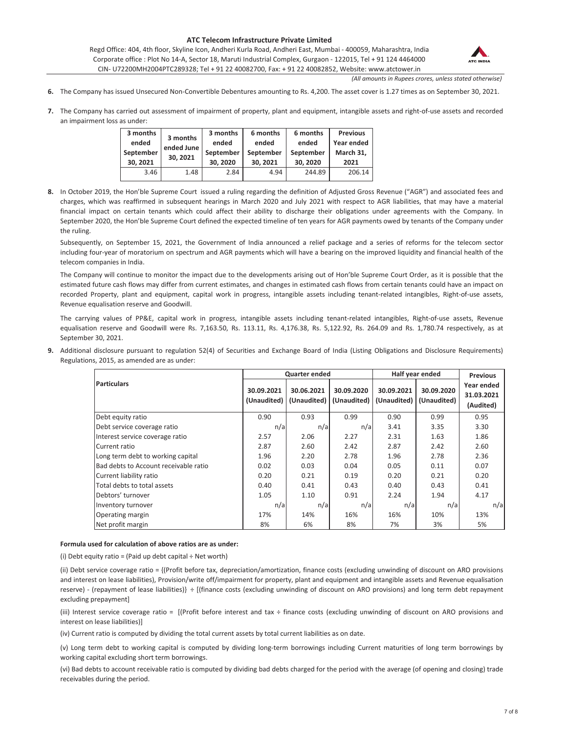Regd Office: 404, 4th floor, Skyline Icon, Andheri Kurla Road, Andheri East, Mumbai - 400059, Maharashtra, India Corporate office : Plot No 14-A, Sector 18, Maruti Industrial Complex, Gurgaon - 122015, Tel + 91 124 4464000 CIN- U72200MH2004PTC289328; Tel + 91 22 40082700, Fax: + 91 22 40082852, Website: www.atctower.in



*(All amounts in Rupees crores, unless stated otherwise)*

- **6.** The Company has issued Unsecured Non-Convertible Debentures amounting to Rs. 4,200. The asset cover is 1.27 times as on September 30, 2021.
- **7.** The Company has carried out assessment of impairment of property, plant and equipment, intangible assets and right-of-use assets and recorded an impairment loss as under:

| 3 months<br>ended<br>September<br>30.2021 | 3 months<br>ended June<br>30.2021 | 3 months<br>ended<br>September<br>30.2020 | 6 months<br>ended<br>September<br>30.2021 | 6 months<br>ended<br>September<br>30.2020 | <b>Previous</b><br>Year ended<br>March 31,<br>2021 |
|-------------------------------------------|-----------------------------------|-------------------------------------------|-------------------------------------------|-------------------------------------------|----------------------------------------------------|
| 3.46                                      | 1.48                              | 2.84                                      | 4.94                                      | 244.89                                    | 206.14                                             |

**8.** In October 2019, the Hon'ble Supreme Court issued a ruling regarding the definition of Adjusted Gross Revenue ("AGR") and associated fees and charges, which was reaffirmed in subsequent hearings in March 2020 and July 2021 with respect to AGR liabilities, that may have a material financial impact on certain tenants which could affect their ability to discharge their obligations under agreements with the Company. In September 2020, the Hon'ble Supreme Court defined the expected timeline of ten years for AGR payments owed by tenants of the Company under the ruling.

Subsequently, on September 15, 2021, the Government of India announced a relief package and a series of reforms for the telecom sector including four-year of moratorium on spectrum and AGR payments which will have a bearing on the improved liquidity and financial health of the telecom companies in India.

The Company will continue to monitor the impact due to the developments arising out of Hon'ble Supreme Court Order, as it is possible that the estimated future cash flows may differ from current estimates, and changes in estimated cash flows from certain tenants could have an impact on recorded Property, plant and equipment, capital work in progress, intangible assets including tenant-related intangibles, Right-of-use assets, Revenue equalisation reserve and Goodwill.

The carrying values of PP&E, capital work in progress, intangible assets including tenant-related intangibles, Right-of-use assets, Revenue equalisation reserve and Goodwill were Rs. 7,163.50, Rs. 113.11, Rs. 4,176.38, Rs. 5,122.92, Rs. 264.09 and Rs. 1,780.74 respectively, as at September 30, 2021.

**9.** Additional disclosure pursuant to regulation 52(4) of Securities and Exchange Board of India (Listing Obligations and Disclosure Requirements) Regulations, 2015, as amended are as under:

|                                       |            | Quarter ended                           |                           |                           | Half year ended           | <b>Previous</b>                       |  |
|---------------------------------------|------------|-----------------------------------------|---------------------------|---------------------------|---------------------------|---------------------------------------|--|
| <b>Particulars</b>                    | 30.09.2021 | 30.06.2021<br>(Unaudited)   (Unaudited) | 30.09.2020<br>(Unaudited) | 30.09.2021<br>(Unaudited) | 30.09.2020<br>(Unaudited) | Year ended<br>31.03.2021<br>(Audited) |  |
| Debt equity ratio                     | 0.90       | 0.93                                    | 0.99                      | 0.90                      | 0.99                      | 0.95                                  |  |
| Debt service coverage ratio           | n/a        | n/a                                     | n/a                       | 3.41                      | 3.35                      | 3.30                                  |  |
| Interest service coverage ratio       | 2.57       | 2.06                                    | 2.27                      | 2.31                      | 1.63                      | 1.86                                  |  |
| Current ratio                         | 2.87       | 2.60                                    | 2.42                      | 2.87                      | 2.42                      | 2.60                                  |  |
| Long term debt to working capital     | 1.96       | 2.20                                    | 2.78                      | 1.96                      | 2.78                      | 2.36                                  |  |
| Bad debts to Account receivable ratio | 0.02       | 0.03                                    | 0.04                      | 0.05                      | 0.11                      | 0.07                                  |  |
| Current liability ratio               | 0.20       | 0.21                                    | 0.19                      | 0.20                      | 0.21                      | 0.20                                  |  |
| Total debts to total assets           | 0.40       | 0.41                                    | 0.43                      | 0.40                      | 0.43                      | 0.41                                  |  |
| Debtors' turnover                     | 1.05       | 1.10                                    | 0.91                      | 2.24                      | 1.94                      | 4.17                                  |  |
| Inventory turnover                    | n/a        | n/a                                     | n/a                       | n/a                       | n/a                       | n/a                                   |  |
| Operating margin                      | 17%        | 14%                                     | 16%                       | 16%                       | 10%                       | 13%                                   |  |
| Net profit margin                     | 8%         | 6%                                      | 8%                        | 7%                        | 3%                        | 5%                                    |  |

#### **Formula used for calculation of above ratios are as under:**

(i) Debt equity ratio = (Paid up debt capital  $\div$  Net worth)

(ii) Debt service coverage ratio = {(Profit before tax, depreciation/amortization, finance costs (excluding unwinding of discount on ARO provisions and interest on lease liabilities), Provision/write off/impairment for property, plant and equipment and intangible assets and Revenue equalisation reserve) - (repayment of lease liabilities)} ÷ [(finance costs (excluding unwinding of discount on ARO provisions) and long term debt repayment excluding prepayment]

(iii) Interest service coverage ratio = [(Profit before interest and tax ÷ finance costs (excluding unwinding of discount on ARO provisions and interest on lease liabilities)]

(iv) Current ratio is computed by dividing the total current assets by total current liabilities as on date.

(v) Long term debt to working capital is computed by dividing long-term borrowings including Current maturities of long term borrowings by working capital excluding short term borrowings.

(vi) Bad debts to account receivable ratio is computed by dividing bad debts charged for the period with the average (of opening and closing) trade receivables during the period.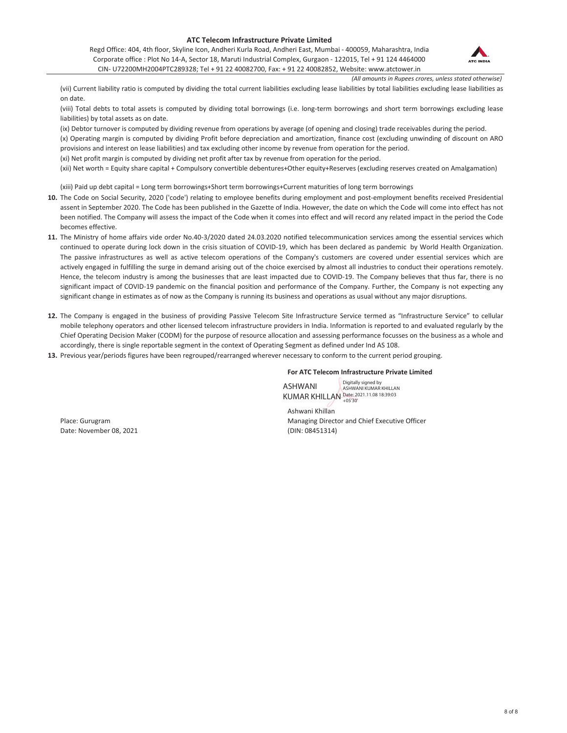Regd Office: 404, 4th floor, Skyline Icon, Andheri Kurla Road, Andheri East, Mumbai - 400059, Maharashtra, India Corporate office : Plot No 14-A, Sector 18, Maruti Industrial Complex, Gurgaon - 122015, Tel + 91 124 4464000 CIN- U72200MH2004PTC289328; Tel + 91 22 40082700, Fax: + 91 22 40082852, Website: www.atctower.in



*(All amounts in Rupees crores, unless stated otherwise)*

(vii) Current liability ratio is computed by dividing the total current liabilities excluding lease liabilities by total liabilities excluding lease liabilities as on date.

(viii) Total debts to total assets is computed by dividing total borrowings (i.e. long-term borrowings and short term borrowings excluding lease liabilities) by total assets as on date.

(ix) Debtor turnover is computed by dividing revenue from operations by average (of opening and closing) trade receivables during the period. (x) Operating margin is computed by dividing Profit before depreciation and amortization, finance cost (excluding unwinding of discount on ARO provisions and interest on lease liabilities) and tax excluding other income by revenue from operation for the period.

(xi) Net profit margin is computed by dividing net profit after tax by revenue from operation for the period.

(xii) Net worth = Equity share capital + Compulsory convertible debentures+Other equity+Reserves (excluding reserves created on Amalgamation)

(xiii) Paid up debt capital = Long term borrowings+Short term borrowings+Current maturities of long term borrowings

- **10.** The Code on Social Security, 2020 ('code') relating to employee benefits during employment and post-employment benefits received Presidential assent in September 2020. The Code has been published in the Gazette of India. However, the date on which the Code will come into effect has not been notified. The Company will assess the impact of the Code when it comes into effect and will record any related impact in the period the Code becomes effective.
- **11.** The Ministry of home affairs vide order No.40-3/2020 dated 24.03.2020 notified telecommunication services among the essential services which continued to operate during lock down in the crisis situation of COVID-19, which has been declared as pandemic by World Health Organization. The passive infrastructures as well as active telecom operations of the Company's customers are covered under essential services which are actively engaged in fulfilling the surge in demand arising out of the choice exercised by almost all industries to conduct their operations remotely. Hence, the telecom industry is among the businesses that are least impacted due to COVID-19. The Company believes that thus far, there is no significant impact of COVID-19 pandemic on the financial position and performance of the Company. Further, the Company is not expecting any significant change in estimates as of now as the Company is running its business and operations as usual without any major disruptions.
- **12.** The Company is engaged in the business of providing Passive Telecom Site Infrastructure Service termed as "Infrastructure Service" to cellular mobile telephony operators and other licensed telecom infrastructure providers in India. Information is reported to and evaluated regularly by the Chief Operating Decision Maker (CODM) for the purpose of resource allocation and assessing performance focusses on the business as a whole and accordingly, there is single reportable segment in the context of Operating Segment as defined under Ind AS 108.
- **13.** Previous year/periods figures have been regrouped/rearranged wherever necessary to conform to the current period grouping.

### **For ATC Telecom Infrastructure Private Limited**

Digitally signed by ASHWANI KUMAR KHILLAN

ASHWANI KUMAR KHILLAN Date: 2021.11.08 18:39:03

Date: November 08, 2021 (DIN: 08451314)

Ashwani Khillan Place: Gurugram Managing Director and Chief Executive Officer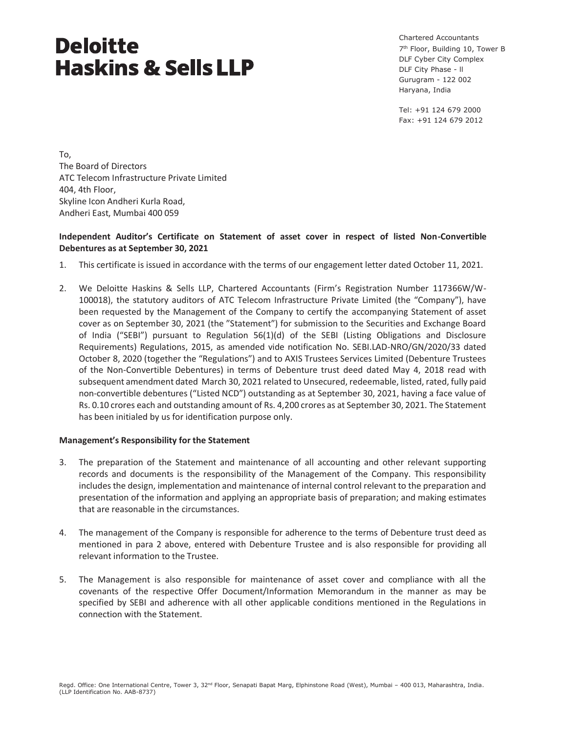Chartered Accountants 7<sup>th</sup> Floor, Building 10, Tower B DLF Cyber City Complex DLF City Phase - ll Gurugram - 122 002 Haryana, India

Tel: +91 124 679 2000 Fax: +91 124 679 2012

To, The Board of Directors ATC Telecom Infrastructure Private Limited 404, 4th Floor, Skyline Icon Andheri Kurla Road, Andheri East, Mumbai 400 059

# **Independent Auditor's Certificate on Statement of asset cover in respect of listed Non-Convertible Debentures as at September 30, 2021**

- 1. This certificate is issued in accordance with the terms of our engagement letter dated October 11, 2021.
- 2. We Deloitte Haskins & Sells LLP, Chartered Accountants (Firm's Registration Number 117366W/W-100018), the statutory auditors of ATC Telecom Infrastructure Private Limited (the "Company"), have been requested by the Management of the Company to certify the accompanying Statement of asset cover as on September 30, 2021 (the "Statement") for submission to the Securities and Exchange Board of India ("SEBI") pursuant to Regulation 56(1)(d) of the SEBI (Listing Obligations and Disclosure Requirements) Regulations, 2015, as amended vide notification No. SEBI.LAD-NRO/GN/2020/33 dated October 8, 2020 (together the "Regulations") and to AXIS Trustees Services Limited (Debenture Trustees of the Non-Convertible Debentures) in terms of Debenture trust deed dated May 4, 2018 read with subsequent amendment dated March 30, 2021 related to Unsecured, redeemable, listed, rated, fully paid non-convertible debentures ("Listed NCD") outstanding as at September 30, 2021, having a face value of Rs. 0.10 crores each and outstanding amount of Rs. 4,200 crores as at September 30, 2021. The Statement has been initialed by us for identification purpose only.

## **Management's Responsibility for the Statement**

- 3. The preparation of the Statement and maintenance of all accounting and other relevant supporting records and documents is the responsibility of the Management of the Company. This responsibility includes the design, implementation and maintenance of internal control relevant to the preparation and presentation of the information and applying an appropriate basis of preparation; and making estimates that are reasonable in the circumstances.
- 4. The management of the Company is responsible for adherence to the terms of Debenture trust deed as mentioned in para 2 above, entered with Debenture Trustee and is also responsible for providing all relevant information to the Trustee.
- 5. The Management is also responsible for maintenance of asset cover and compliance with all the covenants of the respective Offer Document/Information Memorandum in the manner as may be specified by SEBI and adherence with all other applicable conditions mentioned in the Regulations in connection with the Statement.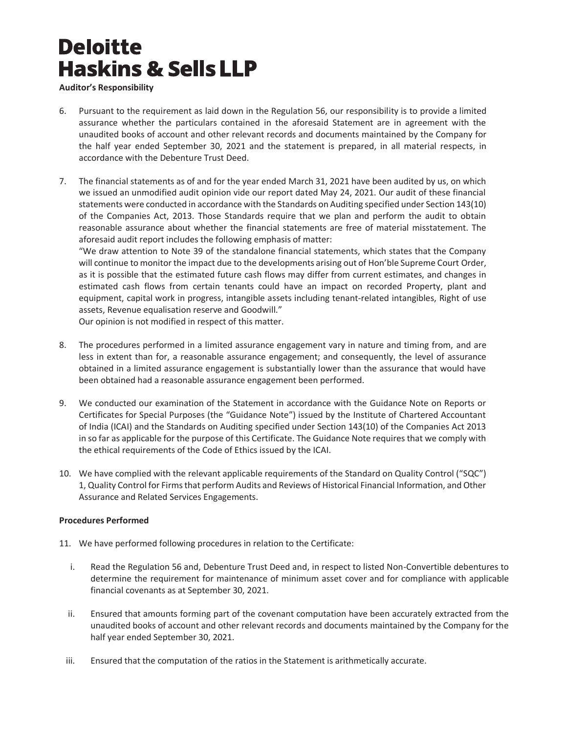# **Auditor's Responsibility**

- 6. Pursuant to the requirement as laid down in the Regulation 56, our responsibility is to provide a limited assurance whether the particulars contained in the aforesaid Statement are in agreement with the unaudited books of account and other relevant records and documents maintained by the Company for the half year ended September 30, 2021 and the statement is prepared, in all material respects, in accordance with the Debenture Trust Deed.
- 7. The financial statements as of and for the year ended March 31, 2021 have been audited by us, on which we issued an unmodified audit opinion vide our report dated May 24, 2021. Our audit of these financial statements were conducted in accordance with the Standards on Auditing specified under Section 143(10) of the Companies Act, 2013. Those Standards require that we plan and perform the audit to obtain reasonable assurance about whether the financial statements are free of material misstatement. The aforesaid audit report includes the following emphasis of matter:

"We draw attention to Note 39 of the standalone financial statements, which states that the Company will continue to monitor the impact due to the developments arising out of Hon'ble Supreme Court Order, as it is possible that the estimated future cash flows may differ from current estimates, and changes in estimated cash flows from certain tenants could have an impact on recorded Property, plant and equipment, capital work in progress, intangible assets including tenant-related intangibles, Right of use assets, Revenue equalisation reserve and Goodwill."

Our opinion is not modified in respect of this matter.

- 8. The procedures performed in a limited assurance engagement vary in nature and timing from, and are less in extent than for, a reasonable assurance engagement; and consequently, the level of assurance obtained in a limited assurance engagement is substantially lower than the assurance that would have been obtained had a reasonable assurance engagement been performed.
- 9. We conducted our examination of the Statement in accordance with the Guidance Note on Reports or Certificates for Special Purposes (the "Guidance Note") issued by the Institute of Chartered Accountant of India (ICAI) and the Standards on Auditing specified under Section 143(10) of the Companies Act 2013 in so far as applicable for the purpose of this Certificate. The Guidance Note requires that we comply with the ethical requirements of the Code of Ethics issued by the ICAI.
- 10. We have complied with the relevant applicable requirements of the Standard on Quality Control ("SQC") 1, Quality Control for Firms that perform Audits and Reviews of Historical Financial Information, and Other Assurance and Related Services Engagements.

# **Procedures Performed**

- 11. We have performed following procedures in relation to the Certificate:
	- i. Read the Regulation 56 and, Debenture Trust Deed and, in respect to listed Non-Convertible debentures to determine the requirement for maintenance of minimum asset cover and for compliance with applicable financial covenants as at September 30, 2021.
	- ii. Ensured that amounts forming part of the covenant computation have been accurately extracted from the unaudited books of account and other relevant records and documents maintained by the Company for the half year ended September 30, 2021.
	- iii. Ensured that the computation of the ratios in the Statement is arithmetically accurate.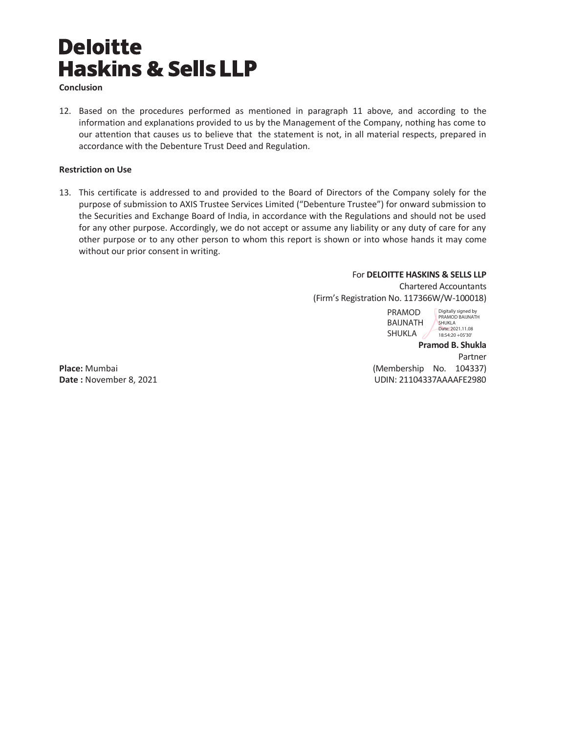**Conclusion** 

12. Based on the procedures performed as mentioned in paragraph 11 above, and according to the information and explanations provided to us by the Management of the Company, nothing has come to our attention that causes us to believe that the statement is not, in all material respects, prepared in accordance with the Debenture Trust Deed and Regulation.

## **Restriction on Use**

13. This certificate is addressed to and provided to the Board of Directors of the Company solely for the purpose of submission to AXIS Trustee Services Limited ("Debenture Trustee") for onward submission to the Securities and Exchange Board of India, in accordance with the Regulations and should not be used for any other purpose. Accordingly, we do not accept or assume any liability or any duty of care for any other purpose or to any other person to whom this report is shown or into whose hands it may come without our prior consent in writing.

## For **DELOITTE HASKINS & SELLS LLP**

Chartered Accountants (Firm's Registration No. 117366W/W-100018)

> PRAMOD BAIJNATH SHUKLA

Digitally signed by PRAMOD BAIJNATH SHUKLA Date: 2021.11.08 18:54:20 +05'30'

**Pramod B. Shukla**  Partner **Place:** Mumbai (Membership No. 104337) **Date :** November 8, 2021 **Date : November 8, 2021 UDIN: 21104337AAAAFE2980**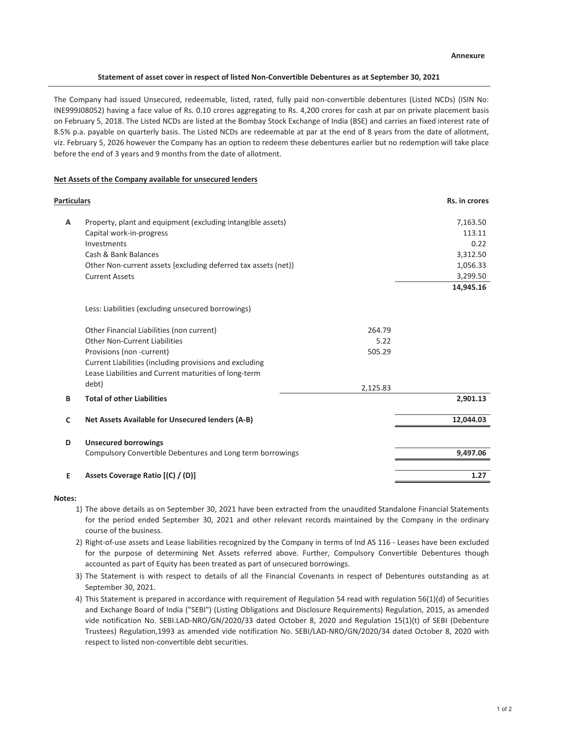#### **Statement of asset cover in respect of listed Non-Convertible Debentures as at September 30, 2021**

The Company had issued Unsecured, redeemable, listed, rated, fully paid non-convertible debentures (Listed NCDs) (ISIN No: INE999J08052) having a face value of Rs. 0.10 crores aggregating to Rs. 4,200 crores for cash at par on private placement basis on February 5, 2018. The Listed NCDs are listed at the Bombay Stock Exchange of India (BSE) and carries an fixed interest rate of 8.5% p.a. payable on quarterly basis. The Listed NCDs are redeemable at par at the end of 8 years from the date of allotment, viz. February 5, 2026 however the Company has an option to redeem these debentures earlier but no redemption will take place before the end of 3 years and 9 months from the date of allotment.

### **Net Assets of the Company available for unsecured lenders**

| <b>Particulars</b> |                                                                |          | Rs. in crores |
|--------------------|----------------------------------------------------------------|----------|---------------|
| A                  | Property, plant and equipment (excluding intangible assets)    |          | 7,163.50      |
|                    | Capital work-in-progress                                       |          | 113.11        |
|                    | Investments                                                    |          | 0.22          |
|                    | Cash & Bank Balances                                           |          | 3,312.50      |
|                    | Other Non-current assets {excluding deferred tax assets (net)} |          | 1,056.33      |
|                    | <b>Current Assets</b>                                          |          | 3,299.50      |
|                    |                                                                |          | 14,945.16     |
|                    | Less: Liabilities (excluding unsecured borrowings)             |          |               |
|                    | Other Financial Liabilities (non current)                      | 264.79   |               |
|                    | Other Non-Current Liabilities                                  | 5.22     |               |
|                    | Provisions (non -current)                                      | 505.29   |               |
|                    | Current Liabilities (including provisions and excluding        |          |               |
|                    | Lease Liabilities and Current maturities of long-term          |          |               |
|                    | debt)                                                          | 2,125.83 |               |
| B                  | <b>Total of other Liabilities</b>                              |          | 2,901.13      |
| C                  | Net Assets Available for Unsecured lenders (A-B)               |          | 12,044.03     |
|                    |                                                                |          |               |
| D                  | <b>Unsecured borrowings</b>                                    |          |               |
|                    | Compulsory Convertible Debentures and Long term borrowings     |          | 9,497.06      |
| E                  | Assets Coverage Ratio [(C) / (D)]                              |          | 1.27          |
|                    |                                                                |          |               |

### **Notes:**

- 1) The above details as on September 30, 2021 have been extracted from the unaudited Standalone Financial Statements for the period ended September 30, 2021 and other relevant records maintained by the Company in the ordinary course of the business.
- 2) Right-of-use assets and Lease liabilities recognized by the Company in terms of Ind AS 116 Leases have been excluded for the purpose of determining Net Assets referred above. Further, Compulsory Convertible Debentures though accounted as part of Equity has been treated as part of unsecured borrowings.
- 3) The Statement is with respect to details of all the Financial Covenants in respect of Debentures outstanding as at September 30, 2021.
- 4) This Statement is prepared in accordance with requirement of Regulation 54 read with regulation 56(1)(d) of Securities and Exchange Board of India ("SEBI") (Listing Obligations and Disclosure Requirements) Regulation, 2015, as amended vide notification No. SEBI.LAD-NRO/GN/2020/33 dated October 8, 2020 and Regulation 15(1)(t) of SEBI (Debenture Trustees) Regulation,1993 as amended vide notification No. SEBI/LAD-NRO/GN/2020/34 dated October 8, 2020 with respect to listed non-convertible debt securities.